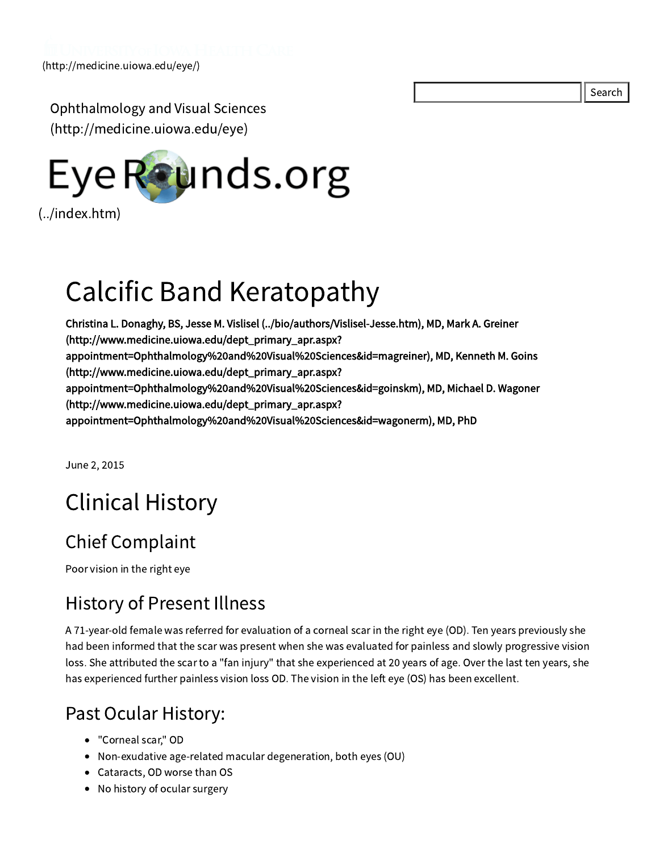Search

Ophthalmology and Visual Sciences [\(http://medicine.uiowa.edu/eye\)](http://medicine.uiowa.edu/eye)



# Calcific Band Keratopathy

Christina L. Donaghy, BS, Jesse M. Vislisel [\(../bio/authors/Vislisel-Jesse.htm\)](file:///Volumes/Blue/Sites/eyeforum/bio/authors/Vislisel-Jesse.htm), MD, Mark A. Greiner (http://www.medicine.uiowa.edu/dept\_primary\_apr.aspx? [appointment=Ophthalmology%20and%20Visual%20Sciences&id=magreiner\),](http://www.medicine.uiowa.edu/dept_primary_apr.aspx?appointment=Ophthalmology%20and%20Visual%20Sciences&id=magreiner) MD, Kenneth M. Goins (http://www.medicine.uiowa.edu/dept\_primary\_apr.aspx? appointment=Ophthalmology%20and%20Visual%20Sciences&id=goinskm), MD, Michael D. Wagoner (http://www.medicine.uiowa.edu/dept\_primary\_apr.aspx? [appointment=Ophthalmology%20and%20Visual%20Sciences&id=wagonerm\),](http://www.medicine.uiowa.edu/dept_primary_apr.aspx?appointment=Ophthalmology%20and%20Visual%20Sciences&id=wagonerm) MD, PhD

June 2, 2015

# Clinical History

# Chief Complaint

Poor vision in the right eye

# History of Present Illness

A 71-year-old female was referred for evaluation of a corneal scar in the right eye (OD). Ten years previously she had been informed that the scar was present when she was evaluated for painless and slowly progressive vision loss. She attributed the scar to a "fan injury" that she experienced at 20 years of age. Over the last ten years, she has experienced further painless vision loss OD. The vision in the left eye (OS) has been excellent.

# Past Ocular History:

- "Corneal scar," OD
- Non-exudative age-related macular degeneration, both eyes (OU)
- Cataracts, OD worse than OS
- No history of ocular surgery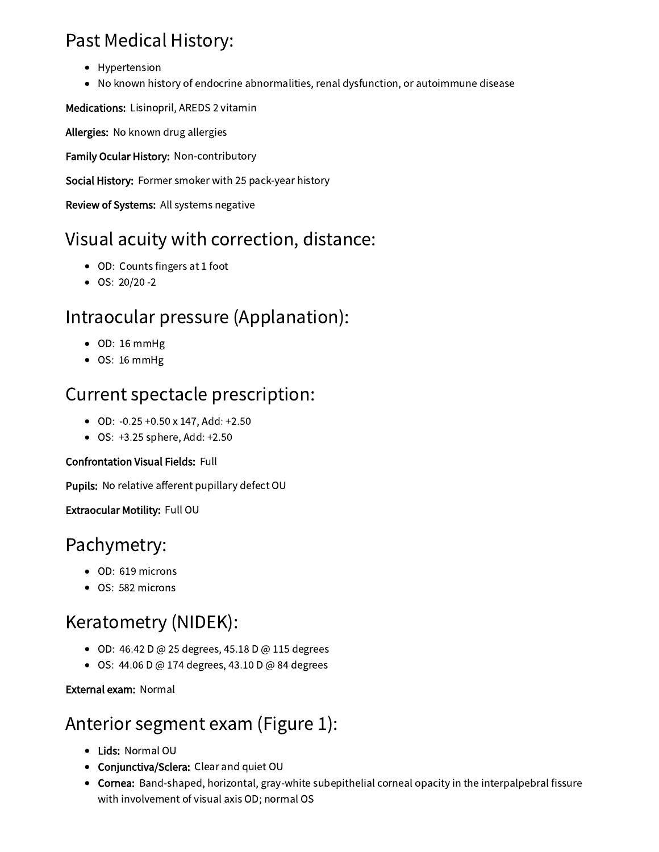# Past Medical History:

- Hypertension
- No known history of endocrine abnormalities, renal dysfunction, or autoimmune disease

Medications: Lisinopril, AREDS 2 vitamin

Allergies: No known drug allergies

Family Ocular History: Non-contributory

Social History: Former smoker with 25 pack-year history

Review of Systems: All systems negative

# Visual acuity with correction, distance:

- OD: Counts fingers at 1 foot
- $\bullet$  OS: 20/20 -2

# Intraocular pressure (Applanation):

- OD: 16 mmHg
- OS: 16 mmHg

# Current spectacle prescription:

- OD: -0.25 +0.50 x 147, Add: +2.50
- OS: +3.25 sphere, Add: +2.50

### Confrontation Visual Fields: Full

Pupils: No relative afferent pupillary defect OU

Extraocular Motility: Full OU

# Pachymetry:

- OD: 619 microns
- OS: 582 microns

# Keratometry (NIDEK):

- OD: 46.42 D @ 25 degrees, 45.18 D @ 115 degrees
- OS: 44.06 D @ 174 degrees, 43.10 D @ 84 degrees

External exam: Normal

# Anterior segment exam (Figure 1):

- Lids: Normal OU
- Conjunctiva/Sclera: Clear and quiet OU
- Cornea: Band-shaped, horizontal, gray-white subepithelial corneal opacity in the interpalpebral fissure with involvement of visual axis OD; normal OS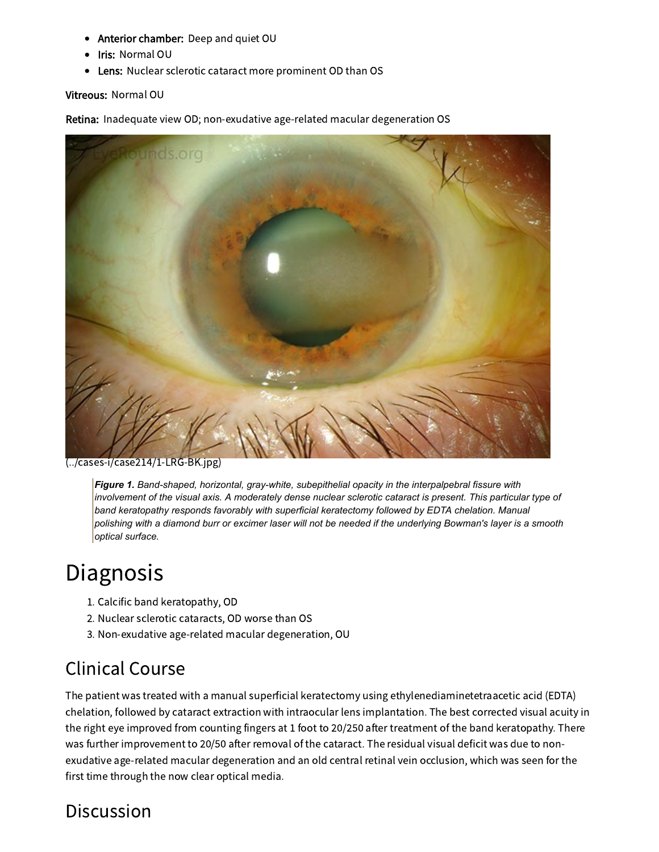- Anterior chamber: Deep and quiet OU  $\bullet$
- Iris: Normal OU
- Lens: Nuclear sclerotic cataract more prominent OD than OS

#### Vitreous: Normal OU

Retina: Inadequate view OD; non-exudative age-related macular degeneration OS



[\(../cases-i/case214/1-LRG-BK.jpg\)](file:///Volumes/Blue/Sites/eyeforum/cases-i/case214/1-LRG-BK.jpg)

*Figure 1. Band-shaped, horizontal, gray-white, subepithelial opacity in the interpalpebral fissure with* involvement of the visual axis. A moderately dense nuclear sclerotic cataract is present. This particular type of *band keratopathy responds favorably with superficial keratectomy followed by EDTA chelation. Manual* polishing with a diamond burr or excimer laser will not be needed if the underlying Bowman's layer is a smooth *optical surface.*

# **Diagnosis**

- 1. Calcific band keratopathy, OD
- 2. Nuclear sclerotic cataracts, OD worse than OS
- 3. Non-exudative age-related macular degeneration, OU

# Clinical Course

The patient was treated with a manual superficial keratectomy using ethylenediaminetetraacetic acid (EDTA) chelation, followed by cataract extraction with intraocular lens implantation. The best corrected visual acuity in the right eye improved from counting fingers at 1 foot to 20/250 after treatment of the band keratopathy. There was further improvement to 20/50 after removal of the cataract. The residual visual deficit was due to nonexudative age-related macular degeneration and an old central retinal vein occlusion, which was seen for the first time through the now clear optical media.

## **Discussion**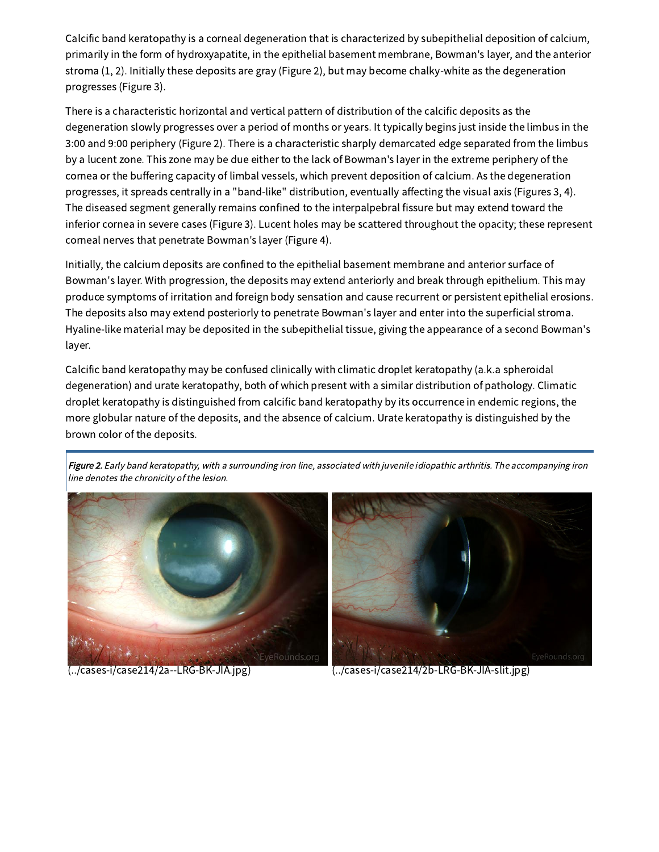Calcific band keratopathy is a corneal degeneration that is characterized by subepithelial deposition of calcium, primarily in the form of hydroxyapatite, in the epithelial basement membrane, Bowman's layer, and the anterior stroma (1, 2). Initially these deposits are gray (Figure 2), but may become chalky-white as the degeneration progresses (Figure 3).

There is a characteristic horizontal and vertical pattern of distribution of the calcific deposits as the degeneration slowly progresses over a period of months or years. It typically begins just inside the limbus in the 3:00 and 9:00 periphery (Figure 2). There is a characteristic sharply demarcated edge separated from the limbus by a lucent zone. This zone may be due either to the lack of Bowman's layer in the extreme periphery of the cornea or the buffering capacity of limbal vessels, which prevent deposition of calcium. As the degeneration progresses, it spreads centrally in a "band-like" distribution, eventually affecting the visual axis (Figures 3, 4). The diseased segment generally remains confined to the interpalpebral fissure but may extend toward the inferior cornea in severe cases (Figure 3). Lucent holes may be scattered throughout the opacity; these represent corneal nerves that penetrate Bowman's layer (Figure 4).

Initially, the calcium deposits are confined to the epithelial basement membrane and anterior surface of Bowman's layer. With progression, the deposits may extend anteriorly and break through epithelium. This may produce symptoms of irritation and foreign body sensation and cause recurrent or persistent epithelial erosions. The deposits also may extend posteriorly to penetrate Bowman's layer and enter into the superficial stroma. Hyaline-like material may be deposited in the subepithelial tissue, giving the appearance of a second Bowman's layer.

Calcific band keratopathy may be confused clinically with climatic droplet keratopathy (a.k.a spheroidal degeneration) and urate keratopathy, both of which present with a similar distribution of pathology. Climatic droplet keratopathy is distinguished from calcific band keratopathy by its occurrence in endemic regions, the more globular nature of the deposits, and the absence of calcium. Urate keratopathy is distinguished by the brown color of the deposits.

Figure 2. Early band keratopathy, with a surrounding iron line, associated with juvenile idiopathic arthritis. The accompanying iron line denotes the chronicity of the lesion.





[\(../cases-i/case214/2a--LRG-BK-JIA.jpg\)](file:///Volumes/Blue/Sites/eyeforum/cases-i/case214/2a--LRG-BK-JIA.jpg) [\(../cases-i/case214/2b-LRG-BK-JIA-slit.jpg\)](file:///Volumes/Blue/Sites/eyeforum/cases-i/case214/2b-LRG-BK-JIA-slit.jpg)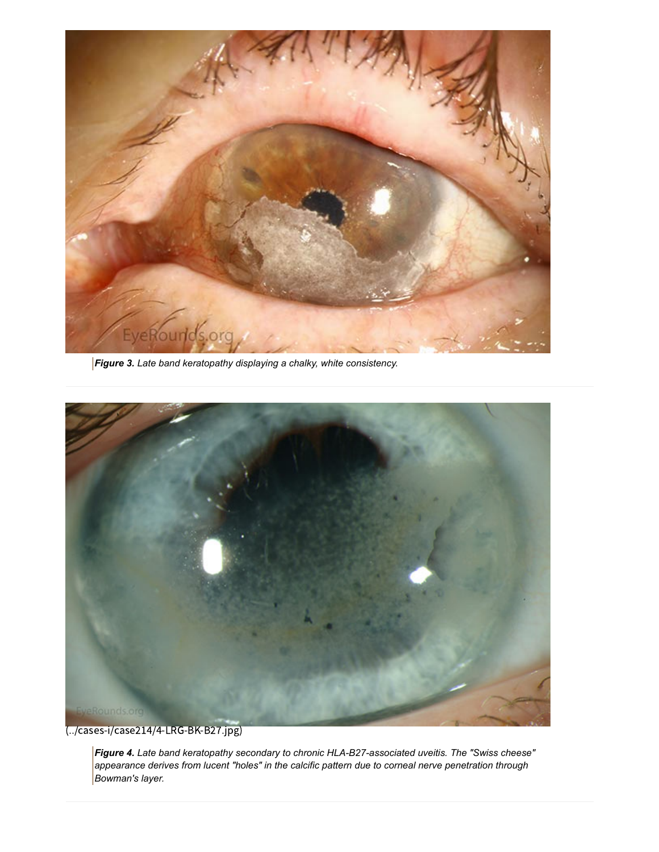

*Figure 3. Late band keratopathy displaying a chalky, white consistency.*



[\(../cases-i/case214/4-LRG-BK-B27.jpg\)](file:///Volumes/Blue/Sites/eyeforum/cases-i/case214/4-LRG-BK-B27.jpg)

*Figure 4. Late band keratopathy secondary to chronic HLA-B27-associated uveitis. The "Swiss cheese" appearance derives from lucent "holes" in the calcific pattern due to corneal nerve penetration through Bowman's layer.*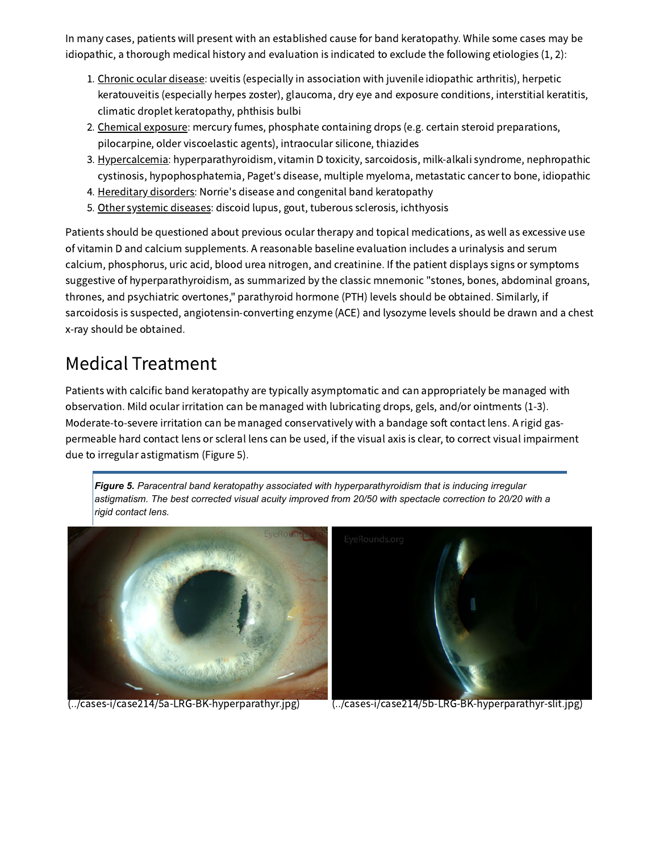In many cases, patients will present with an established cause for band keratopathy. While some cases may be idiopathic, a thorough medical history and evaluation is indicated to exclude the following etiologies (1, 2):

- 1. Chronic ocular disease: uveitis (especially in association with juvenile idiopathic arthritis), herpetic keratouveitis (especially herpes zoster), glaucoma, dry eye and exposure conditions, interstitial keratitis, climatic droplet keratopathy, phthisis bulbi
- 2. Chemical exposure: mercury fumes, phosphate containing drops (e.g. certain steroid preparations, pilocarpine, older viscoelastic agents), intraocular silicone, thiazides
- 3. Hypercalcemia: hyperparathyroidism, vitamin D toxicity, sarcoidosis, milk-alkali syndrome, nephropathic cystinosis, hypophosphatemia, Paget's disease, multiple myeloma, metastatic cancer to bone, idiopathic
- 4. Hereditary disorders: Norrie's disease and congenital band keratopathy
- 5. Other systemic diseases: discoid lupus, gout, tuberous sclerosis, ichthyosis

Patients should be questioned about previous ocular therapy and topical medications, as well as excessive use of vitamin D and calcium supplements. A reasonable baseline evaluation includes a urinalysis and serum calcium, phosphorus, uric acid, blood urea nitrogen, and creatinine. If the patient displays signs or symptoms suggestive of hyperparathyroidism, as summarized by the classic mnemonic "stones, bones, abdominal groans, thrones, and psychiatric overtones," parathyroid hormone (PTH) levels should be obtained. Similarly, if sarcoidosis is suspected, angiotensin-converting enzyme (ACE) and lysozyme levels should be drawn and a chest x-ray should be obtained.

# Medical Treatment

Patients with calcific band keratopathy are typically asymptomatic and can appropriately be managed with observation. Mild ocular irritation can be managed with lubricating drops, gels, and/or ointments (1-3). Moderate-to-severe irritation can be managed conservatively with a bandage soft contact lens. A rigid gaspermeable hard contact lens or scleral lens can be used, if the visual axis is clear, to correct visual impairment due to irregular astigmatism (Figure 5).

*Figure 5. Paracentral band keratopathy associated with hyperparathyroidism that is inducing irregular astigmatism. The best corrected visual acuity improved from 20/50 with spectacle correction to 20/20 with a rigid contact lens.*





[\(../cases-i/case214/5a-LRG-BK-hyperparathyr.jpg\)](file:///Volumes/Blue/Sites/eyeforum/cases-i/case214/5a-LRG-BK-hyperparathyr.jpg) [\(../cases-i/case214/5b-LRG-BK-hyperparathyr-slit.jpg\)](file:///Volumes/Blue/Sites/eyeforum/cases-i/case214/5b-LRG-BK-hyperparathyr-slit.jpg)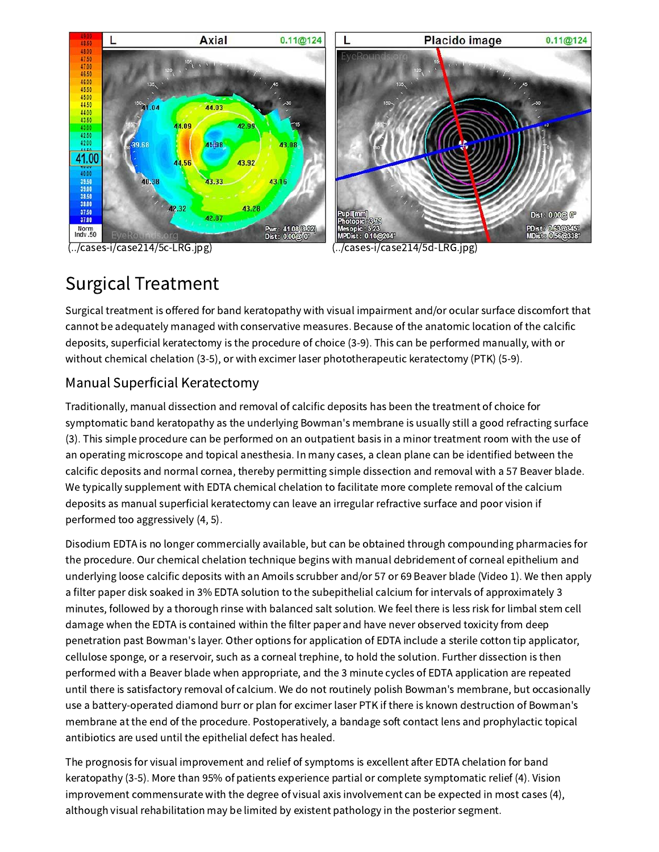

[\(../cases-i/case214/5c-LRG.jpg\)](file:///Volumes/Blue/Sites/eyeforum/cases-i/case214/5c-LRG.jpg) [\(../cases-i/case214/5d-LRG.jpg\)](file:///Volumes/Blue/Sites/eyeforum/cases-i/case214/5d-LRG.jpg)



# Surgical Treatment

Surgical treatment is offered for band keratopathy with visual impairment and/or ocular surface discomfort that cannot be adequately managed with conservative measures. Because of the anatomic location of the calcific deposits, superficial keratectomy is the procedure of choice (3-9). This can be performed manually, with or without chemical chelation (3-5), or with excimer laser phototherapeutic keratectomy (PTK) (5-9).

## Manual Superficial Keratectomy

Traditionally, manual dissection and removal of calcific deposits has been the treatment of choice for symptomatic band keratopathy as the underlying Bowman's membrane is usually still a good refracting surface (3). This simple procedure can be performed on an outpatient basis in a minor treatment room with the use of an operating microscope and topical anesthesia. In many cases, a clean plane can be identified between the calcific deposits and normal cornea, thereby permitting simple dissection and removal with a 57 Beaver blade. We typically supplement with EDTA chemical chelation to facilitate more complete removal of the calcium deposits as manual superficial keratectomy can leave an irregular refractive surface and poor vision if performed too aggressively (4, 5).

Disodium EDTA is no longer commercially available, but can be obtained through compounding pharmacies for the procedure. Our chemical chelation technique begins with manual debridement of corneal epithelium and underlying loose calcific deposits with an Amoils scrubber and/or 57 or 69 Beaver blade (Video 1). We then apply a filter paper disk soaked in 3% EDTA solution to the subepithelial calcium for intervals of approximately 3 minutes, followed by a thorough rinse with balanced salt solution. We feel there is less risk for limbal stem cell damage when the EDTA is contained within the filter paper and have never observed toxicity from deep penetration past Bowman's layer. Other options for application of EDTA include a sterile cotton tip applicator, cellulose sponge, or a reservoir, such as a corneal trephine, to hold the solution. Further dissection is then performed with a Beaver blade when appropriate, and the 3 minute cycles of EDTA application are repeated until there is satisfactory removal of calcium. We do not routinely polish Bowman's membrane, but occasionally use a battery-operated diamond burr or plan for excimer laser PTK if there is known destruction of Bowman's membrane at the end of the procedure. Postoperatively, a bandage soft contact lens and prophylactic topical antibiotics are used until the epithelial defect has healed.

The prognosis for visual improvement and relief of symptoms is excellent after EDTA chelation for band keratopathy (3-5). More than 95% of patients experience partial or complete symptomatic relief (4). Vision improvement commensurate with the degree of visual axis involvement can be expected in most cases (4), although visual rehabilitation may be limited by existent pathology in the posterior segment.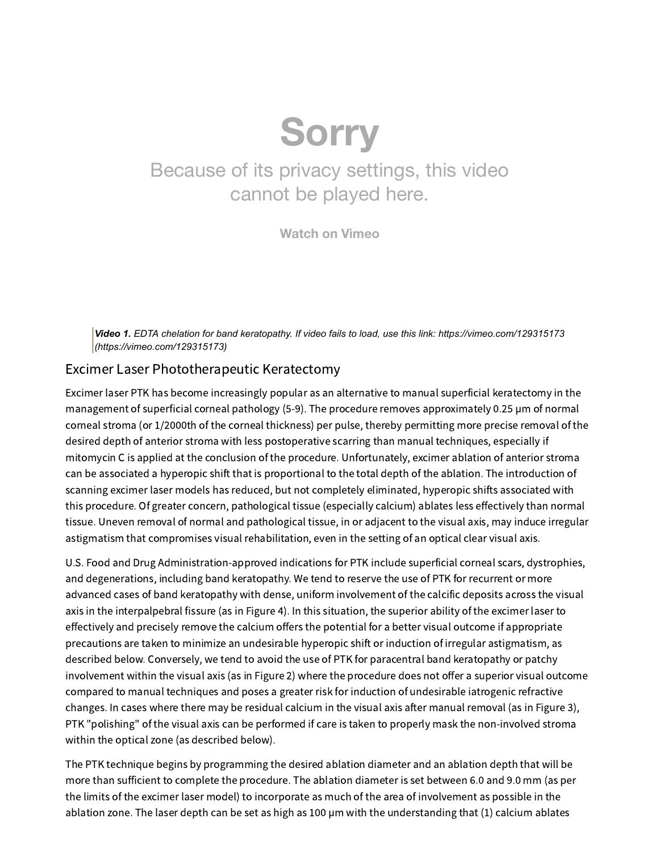# **Sorry**

# Because of its privacy settings, this video cannot be played here.

**[Watch](https://vimeo.com/129315173) on Vimeo**

*Video 1. EDTA chelation for band keratopathy. If video fails to load, use this link: https://vimeo.com/129315173 [\(https://vimeo.com/129315173\)](https://vimeo.com/129315173)*

### Excimer Laser Phototherapeutic Keratectomy

Excimer laser PTK has become increasingly popular as an alternative to manual superficial keratectomy in the management of superficial corneal pathology (5-9). The procedure removes approximately 0.25 µm of normal corneal stroma (or 1/2000th of the corneal thickness) per pulse, thereby permitting more precise removal of the desired depth of anterior stroma with less postoperative scarring than manual techniques, especially if mitomycin C is applied at the conclusion of the procedure. Unfortunately, excimer ablation of anterior stroma can be associated a hyperopic shift that is proportional to the total depth of the ablation. The introduction of scanning excimer laser models has reduced, but not completely eliminated, hyperopic shifts associated with this procedure. Of greater concern, pathological tissue (especially calcium) ablates less effectively than normal tissue. Uneven removal of normal and pathological tissue, in or adjacent to the visual axis, may induce irregular astigmatism that compromises visual rehabilitation, even in the setting of an optical clear visual axis.

U.S. Food and Drug Administration-approved indications for PTK include superficial corneal scars, dystrophies, and degenerations, including band keratopathy. We tend to reserve the use of PTK for recurrent or more advanced cases of band keratopathy with dense, uniform involvement of the calcific deposits across the visual axis in the interpalpebral fissure (as in Figure 4). In this situation, the superior ability of the excimer laser to effectively and precisely remove the calcium offers the potential for a better visual outcome if appropriate precautions are taken to minimize an undesirable hyperopic shift or induction of irregular astigmatism, as described below. Conversely, we tend to avoid the use of PTK for paracentral band keratopathy or patchy involvement within the visual axis (as in Figure 2) where the procedure does not offer a superior visual outcome compared to manual techniques and poses a greater risk for induction of undesirable iatrogenic refractive changes. In cases where there may be residual calcium in the visual axis after manual removal (as in Figure 3), PTK "polishing" of the visual axis can be performed if care is taken to properly mask the non-involved stroma within the optical zone (as described below).

The PTK technique begins by programming the desired ablation diameter and an ablation depth that will be more than sufficient to complete the procedure. The ablation diameter is set between 6.0 and 9.0 mm (as per the limits of the excimer laser model) to incorporate as much of the area of involvement as possible in the ablation zone. The laser depth can be set as high as 100 µm with the understanding that (1) calcium ablates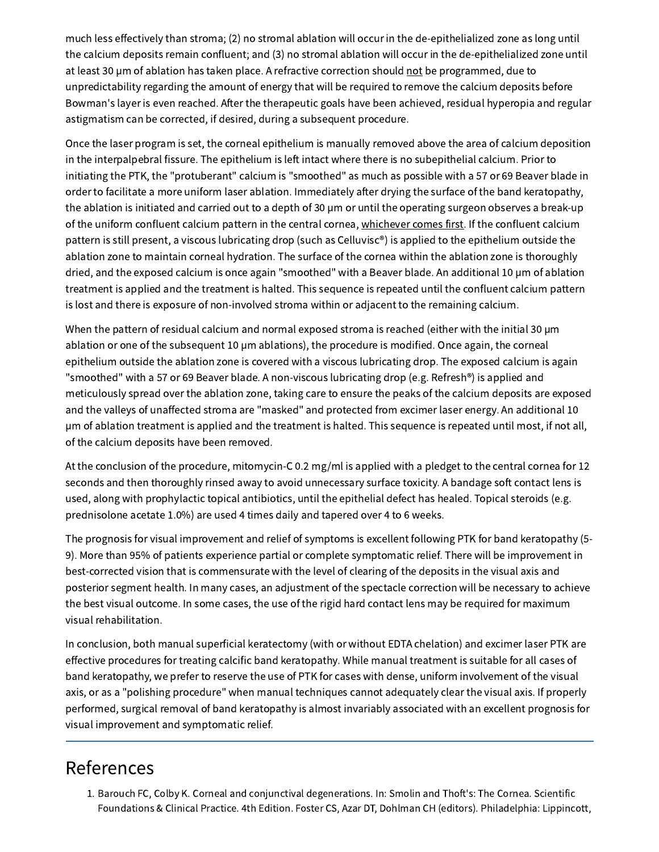much less effectively than stroma; (2) no stromal ablation will occur in the de-epithelialized zone as long until the calcium deposits remain confluent; and (3) no stromal ablation will occur in the de-epithelialized zone until at least 30 µm of ablation has taken place. A refractive correction should not be programmed, due to unpredictability regarding the amount of energy that will be required to remove the calcium deposits before Bowman's layer is even reached. After the therapeutic goals have been achieved, residual hyperopia and regular astigmatism can be corrected, if desired, during a subsequent procedure.

Once the laser program is set, the corneal epithelium is manually removed above the area of calcium deposition in the interpalpebral fissure. The epithelium is left intact where there is no subepithelial calcium. Prior to initiating the PTK, the "protuberant" calcium is "smoothed" as much as possible with a 57 or 69 Beaver blade in order to facilitate a more uniform laser ablation. Immediately after drying the surface of the band keratopathy, the ablation is initiated and carried out to a depth of 30 µm or until the operating surgeon observes a break-up of the uniform confluent calcium pattern in the central cornea, whichever comes first. If the confluent calcium pattern is still present, a viscous lubricating drop (such as Celluvisc®) is applied to the epithelium outside the ablation zone to maintain corneal hydration. The surface of the cornea within the ablation zone is thoroughly dried, and the exposed calcium is once again "smoothed" with a Beaver blade. An additional 10 µm of ablation treatment is applied and the treatment is halted. This sequence is repeated until the confluent calcium pattern is lost and there is exposure of non-involved stroma within or adjacent to the remaining calcium.

When the pattern of residual calcium and normal exposed stroma is reached (either with the initial 30 µm ablation or one of the subsequent 10 µm ablations), the procedure is modified. Once again, the corneal epithelium outside the ablation zone is covered with a viscous lubricating drop. The exposed calcium is again "smoothed" with a 57 or 69 Beaver blade. A non-viscous lubricating drop (e.g. Refresh®) is applied and meticulously spread over the ablation zone, taking care to ensure the peaks of the calcium deposits are exposed and the valleys of unaffected stroma are "masked" and protected from excimer laser energy. An additional 10 µm of ablation treatment is applied and the treatment is halted. This sequence is repeated until most, if not all, of the calcium deposits have been removed.

At the conclusion of the procedure, mitomycin-C 0.2 mg/ml is applied with a pledget to the central cornea for 12 seconds and then thoroughly rinsed away to avoid unnecessary surface toxicity. A bandage soft contact lens is used, along with prophylactic topical antibiotics, until the epithelial defect has healed. Topical steroids (e.g. prednisolone acetate 1.0%) are used 4 times daily and tapered over 4 to 6 weeks.

The prognosis for visual improvement and relief of symptoms is excellent following PTK for band keratopathy (5- 9). More than 95% of patients experience partial or complete symptomatic relief. There will be improvement in best-corrected vision that is commensurate with the level of clearing of the deposits in the visual axis and posterior segment health. In many cases, an adjustment of the spectacle correction will be necessary to achieve the best visual outcome. In some cases, the use of the rigid hard contact lens may be required for maximum visual rehabilitation.

In conclusion, both manual superficial keratectomy (with or without EDTA chelation) and excimer laser PTK are effective procedures for treating calcific band keratopathy. While manual treatment is suitable for all cases of band keratopathy, we prefer to reserve the use of PTK for cases with dense, uniform involvement of the visual axis, or as a "polishing procedure" when manual techniques cannot adequately clear the visual axis. If properly performed, surgical removal of band keratopathy is almost invariably associated with an excellent prognosis for visual improvement and symptomatic relief.

# References

1. Barouch FC, Colby K. Corneal and conjunctival degenerations. In: Smolin and Thoft's: The Cornea. Scientific Foundations & Clinical Practice. 4th Edition. Foster CS, Azar DT, Dohlman CH (editors). Philadelphia: Lippincott,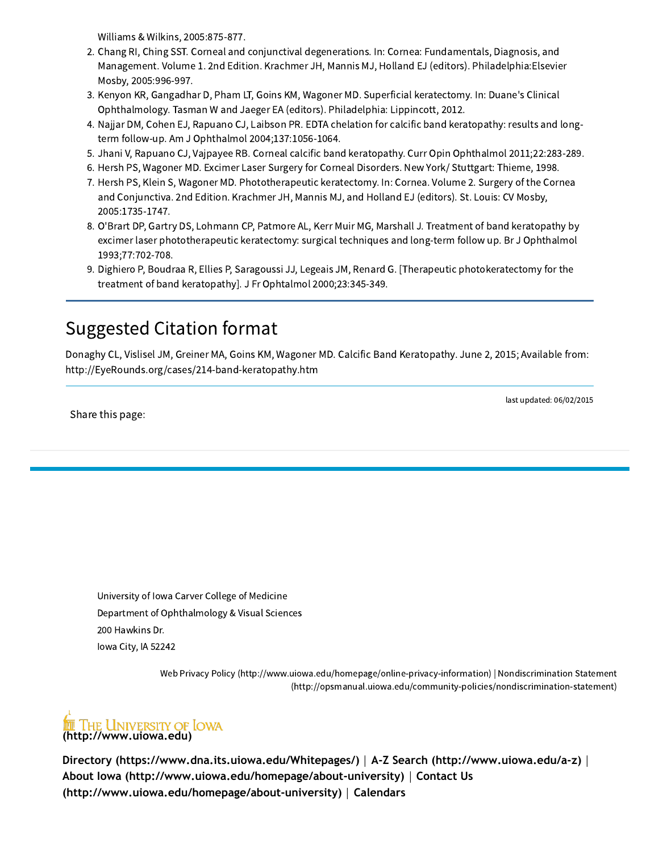Williams & Wilkins, 2005:875-877.

- 2. Chang RI, Ching SST. Corneal and conjunctival degenerations. In: Cornea: Fundamentals, Diagnosis, and Management. Volume 1. 2nd Edition. Krachmer JH, Mannis MJ, Holland EJ (editors). Philadelphia:Elsevier Mosby, 2005:996-997.
- 3. Kenyon KR, Gangadhar D, Pham LT, Goins KM, Wagoner MD. Superficial keratectomy. In: Duane's Clinical Ophthalmology. Tasman W and Jaeger EA (editors). Philadelphia: Lippincott, 2012.
- 4. Najjar DM, Cohen EJ, Rapuano CJ, Laibson PR. EDTA chelation for calcific band keratopathy: results and longterm follow-up. Am J Ophthalmol 2004;137:1056-1064.
- 5. Jhani V, Rapuano CJ, Vajpayee RB. Corneal calcific band keratopathy. Curr Opin Ophthalmol 2011;22:283-289.
- 6. Hersh PS, Wagoner MD. Excimer Laser Surgery for Corneal Disorders. New York/ Stuttgart: Thieme, 1998.
- 7. Hersh PS, Klein S, Wagoner MD. Phototherapeutic keratectomy. In: Cornea. Volume 2. Surgery of the Cornea and Conjunctiva. 2nd Edition. Krachmer JH, Mannis MJ, and Holland EJ (editors). St. Louis: CV Mosby, 2005:1735-1747.
- 8. O'Brart DP, Gartry DS, Lohmann CP, Patmore AL, Kerr Muir MG, Marshall J. Treatment of band keratopathy by excimer laser phototherapeutic keratectomy: surgical techniques and long-term follow up. Br J Ophthalmol 1993;77:702-708.
- 9. Dighiero P, Boudraa R, Ellies P, Saragoussi JJ, Legeais JM, Renard G. [Therapeutic photokeratectomy for the treatment of band keratopathy]. J Fr Ophtalmol 2000;23:345-349.

# Suggested Citation format

Donaghy CL, Vislisel JM, Greiner MA, Goins KM, Wagoner MD. Calcific Band Keratopathy. June 2, 2015; Available from: http://EyeRounds.org/cases/214-band-keratopathy.htm

Share this page:

last updated: 06/02/2015

University of Iowa Carver College of Medicine Department of Ophthalmology & Visual Sciences 200 Hawkins Dr. Iowa City, IA 52242

> Web Privacy Policy [\(http://www.uiowa.edu/homepage/online-privacy-information\)](http://www.uiowa.edu/homepage/online-privacy-information) | Nondiscrimination Statement [\(http://opsmanual.uiowa.edu/community-policies/nondiscrimination-statement\)](http://opsmanual.uiowa.edu/community-policies/nondiscrimination-statement)



**[Directory \(https://www.dna.its.uiowa.edu/Whitepages/\)](https://www.dna.its.uiowa.edu/Whitepages/)** | **[A-Z Search \(http://www.uiowa.edu/a-z\)](http://www.uiowa.edu/a-z)** | **[About Iowa \(http://www.uiowa.edu/homepage/about-university\)](http://www.uiowa.edu/homepage/about-university)** | **Contact Us [\(http://www.uiowa.edu/homepage/about-university\)](http://www.uiowa.edu/homepage/calendars)** | **Calendars**